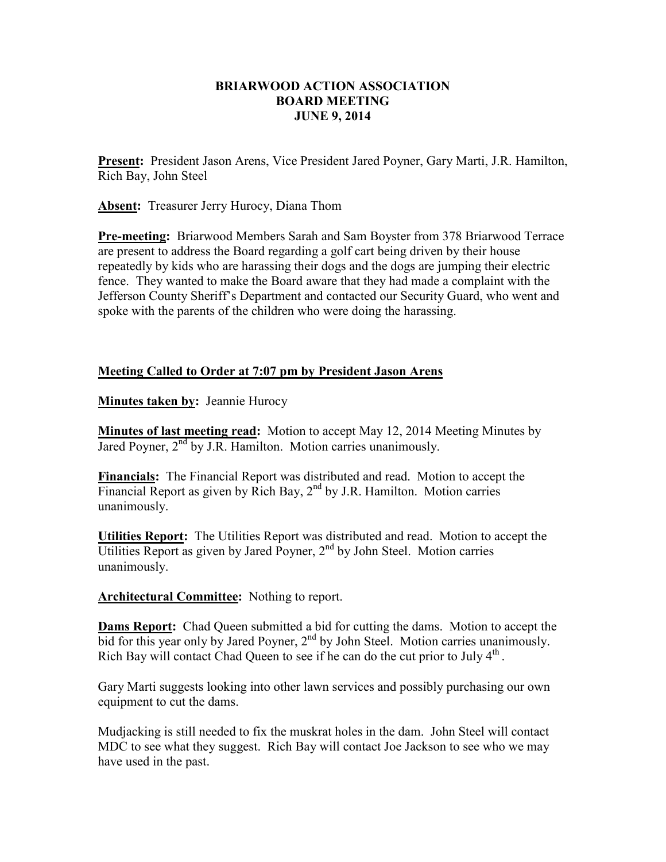## **BRIARWOOD ACTION ASSOCIATION BOARD MEETING JUNE 9, 2014**

**Present:** President Jason Arens, Vice President Jared Poyner, Gary Marti, J.R. Hamilton, Rich Bay, John Steel

**Absent:** Treasurer Jerry Hurocy, Diana Thom

**Pre-meeting:** Briarwood Members Sarah and Sam Boyster from 378 Briarwood Terrace are present to address the Board regarding a golf cart being driven by their house repeatedly by kids who are harassing their dogs and the dogs are jumping their electric fence. They wanted to make the Board aware that they had made a complaint with the Jefferson County Sheriff's Department and contacted our Security Guard, who went and spoke with the parents of the children who were doing the harassing.

## **Meeting Called to Order at 7:07 pm by President Jason Arens**

**Minutes taken by: Jeannie Hurocy** 

**Minutes of last meeting read:** Motion to accept May 12, 2014 Meeting Minutes by Jared Poyner,  $2<sup>nd</sup>$  by J.R. Hamilton. Motion carries unanimously.

**Financials:** The Financial Report was distributed and read. Motion to accept the Financial Report as given by Rich Bay,  $2<sup>nd</sup>$  by J.R. Hamilton. Motion carries unanimously.

**Utilities Report:** The Utilities Report was distributed and read. Motion to accept the Utilities Report as given by Jared Poyner,  $2<sup>nd</sup>$  by John Steel. Motion carries unanimously.

## **Architectural Committee:** Nothing to report.

**Dams Report:** Chad Queen submitted a bid for cutting the dams. Motion to accept the bid for this year only by Jared Poyner, 2<sup>nd</sup> by John Steel. Motion carries unanimously. Rich Bay will contact Chad Queen to see if he can do the cut prior to July  $4<sup>th</sup>$ .

Gary Marti suggests looking into other lawn services and possibly purchasing our own equipment to cut the dams.

Mudjacking is still needed to fix the muskrat holes in the dam. John Steel will contact MDC to see what they suggest. Rich Bay will contact Joe Jackson to see who we may have used in the past.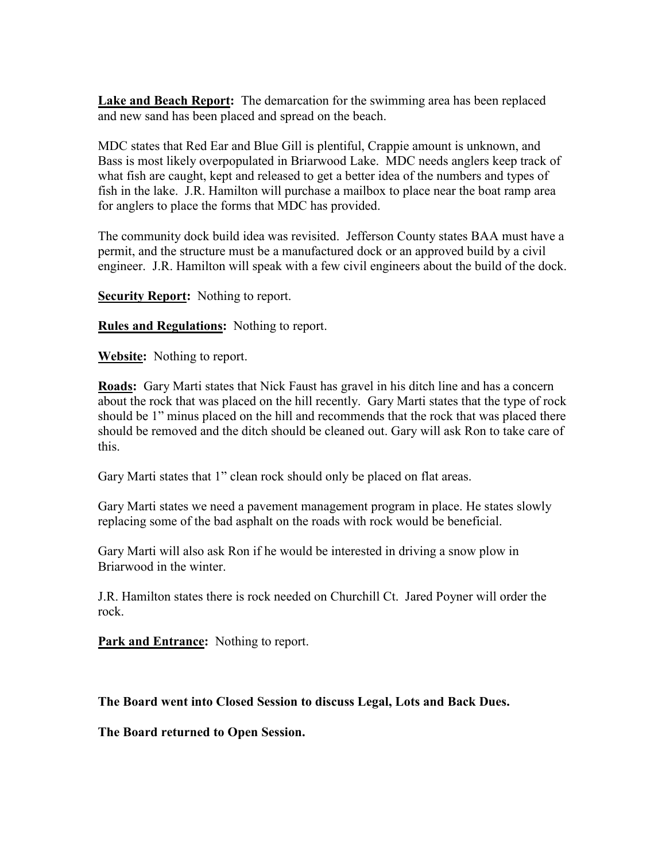**Lake and Beach Report:** The demarcation for the swimming area has been replaced and new sand has been placed and spread on the beach.

MDC states that Red Ear and Blue Gill is plentiful, Crappie amount is unknown, and Bass is most likely overpopulated in Briarwood Lake. MDC needs anglers keep track of what fish are caught, kept and released to get a better idea of the numbers and types of fish in the lake. J.R. Hamilton will purchase a mailbox to place near the boat ramp area for anglers to place the forms that MDC has provided.

The community dock build idea was revisited. Jefferson County states BAA must have a permit, and the structure must be a manufactured dock or an approved build by a civil engineer. J.R. Hamilton will speak with a few civil engineers about the build of the dock.

**Security Report:** Nothing to report.

**Rules and Regulations:** Nothing to report.

**Website:** Nothing to report.

**Roads:** Gary Marti states that Nick Faust has gravel in his ditch line and has a concern about the rock that was placed on the hill recently. Gary Marti states that the type of rock should be 1" minus placed on the hill and recommends that the rock that was placed there should be removed and the ditch should be cleaned out. Gary will ask Ron to take care of this.

Gary Marti states that 1" clean rock should only be placed on flat areas.

Gary Marti states we need a pavement management program in place. He states slowly replacing some of the bad asphalt on the roads with rock would be beneficial.

Gary Marti will also ask Ron if he would be interested in driving a snow plow in Briarwood in the winter.

J.R. Hamilton states there is rock needed on Churchill Ct. Jared Poyner will order the rock.

**Park and Entrance:** Nothing to report.

## **The Board went into Closed Session to discuss Legal, Lots and Back Dues.**

**The Board returned to Open Session.**